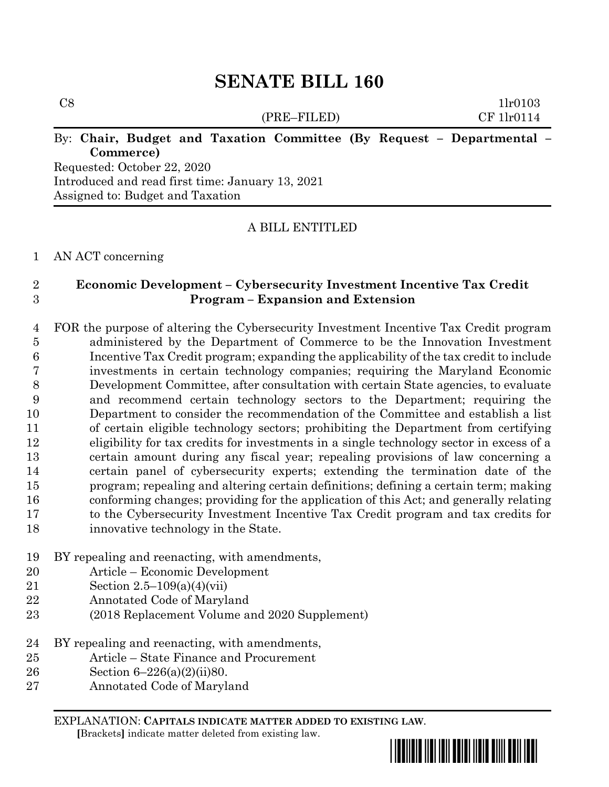(PRE–FILED) CF 1lr0114

 $C8$  1lr0103

## By: **Chair, Budget and Taxation Committee (By Request – Departmental – Commerce)**

Requested: October 22, 2020 Introduced and read first time: January 13, 2021 Assigned to: Budget and Taxation

## A BILL ENTITLED

### AN ACT concerning

### **Economic Development – Cybersecurity Investment Incentive Tax Credit Program – Expansion and Extension**

 FOR the purpose of altering the Cybersecurity Investment Incentive Tax Credit program administered by the Department of Commerce to be the Innovation Investment Incentive Tax Credit program; expanding the applicability of the tax credit to include investments in certain technology companies; requiring the Maryland Economic Development Committee, after consultation with certain State agencies, to evaluate and recommend certain technology sectors to the Department; requiring the Department to consider the recommendation of the Committee and establish a list of certain eligible technology sectors; prohibiting the Department from certifying eligibility for tax credits for investments in a single technology sector in excess of a certain amount during any fiscal year; repealing provisions of law concerning a certain panel of cybersecurity experts; extending the termination date of the program; repealing and altering certain definitions; defining a certain term; making conforming changes; providing for the application of this Act; and generally relating to the Cybersecurity Investment Incentive Tax Credit program and tax credits for innovative technology in the State.

- BY repealing and reenacting, with amendments,
- Article Economic Development
- Section 2.5–109(a)(4)(vii)
- Annotated Code of Maryland
- (2018 Replacement Volume and 2020 Supplement)
- BY repealing and reenacting, with amendments,
- Article State Finance and Procurement
- Section 6–226(a)(2)(ii)80.
- Annotated Code of Maryland

EXPLANATION: **CAPITALS INDICATE MATTER ADDED TO EXISTING LAW**.  **[**Brackets**]** indicate matter deleted from existing law.

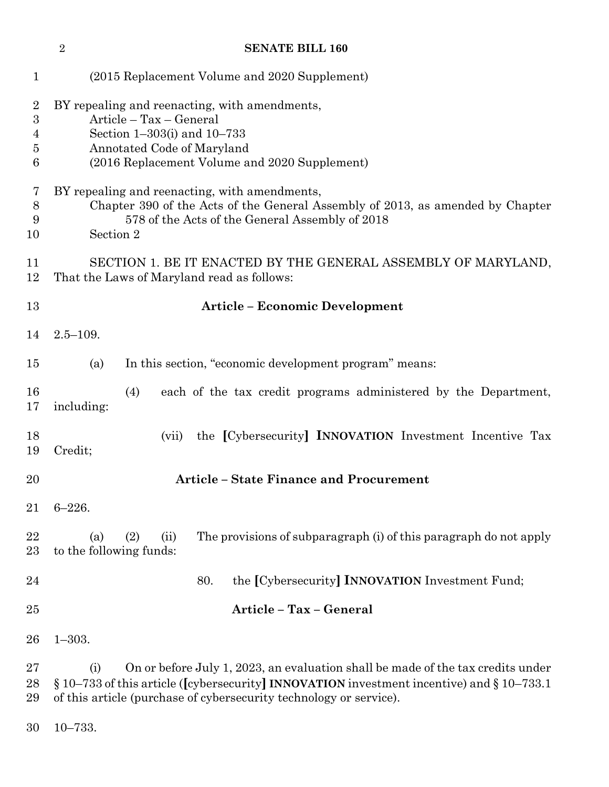|                                                   | $\overline{2}$<br><b>SENATE BILL 160</b>                                                                                                                                                                                                                        |  |  |  |  |
|---------------------------------------------------|-----------------------------------------------------------------------------------------------------------------------------------------------------------------------------------------------------------------------------------------------------------------|--|--|--|--|
| $\mathbf 1$                                       | (2015 Replacement Volume and 2020 Supplement)                                                                                                                                                                                                                   |  |  |  |  |
| $\overline{2}$<br>$\boldsymbol{3}$<br>4<br>5<br>6 | BY repealing and reenacting, with amendments,<br>Article - Tax - General<br>Section $1-303(i)$ and $10-733$<br>Annotated Code of Maryland<br>(2016 Replacement Volume and 2020 Supplement)                                                                      |  |  |  |  |
| 7<br>8<br>9<br>10                                 | BY repealing and reenacting, with amendments,<br>Chapter 390 of the Acts of the General Assembly of 2013, as amended by Chapter<br>578 of the Acts of the General Assembly of 2018<br>Section 2                                                                 |  |  |  |  |
| 11<br>12                                          | SECTION 1. BE IT ENACTED BY THE GENERAL ASSEMBLY OF MARYLAND,<br>That the Laws of Maryland read as follows:                                                                                                                                                     |  |  |  |  |
| 13                                                | <b>Article - Economic Development</b>                                                                                                                                                                                                                           |  |  |  |  |
| 14                                                | $2.5 - 109.$                                                                                                                                                                                                                                                    |  |  |  |  |
| 15                                                | In this section, "economic development program" means:<br>(a)                                                                                                                                                                                                   |  |  |  |  |
| 16<br>17                                          | each of the tax credit programs administered by the Department,<br>(4)<br>including:                                                                                                                                                                            |  |  |  |  |
| 18<br>19                                          | the [Cybersecurity] <b>INNOVATION</b> Investment Incentive Tax<br>(vii)<br>Credit;                                                                                                                                                                              |  |  |  |  |
| 20                                                | <b>Article - State Finance and Procurement</b>                                                                                                                                                                                                                  |  |  |  |  |
| 21                                                | $6 - 226.$                                                                                                                                                                                                                                                      |  |  |  |  |
| 22<br>23                                          | The provisions of subparagraph (i) of this paragraph do not apply<br>(2)<br>(a)<br>(ii)<br>to the following funds:                                                                                                                                              |  |  |  |  |
| 24                                                | the [Cybersecurity] <b>INNOVATION</b> Investment Fund;<br>80.                                                                                                                                                                                                   |  |  |  |  |
| 25                                                | Article - Tax - General                                                                                                                                                                                                                                         |  |  |  |  |
| 26                                                | $1 - 303.$                                                                                                                                                                                                                                                      |  |  |  |  |
| $\rm 27$<br>28<br>29                              | On or before July 1, 2023, an evaluation shall be made of the tax credits under<br>(i)<br>$\S 10-733$ of this article ([cybersecurity] INNOVATION investment incentive) and $\S 10-733.1$<br>of this article (purchase of cybersecurity technology or service). |  |  |  |  |

10–733.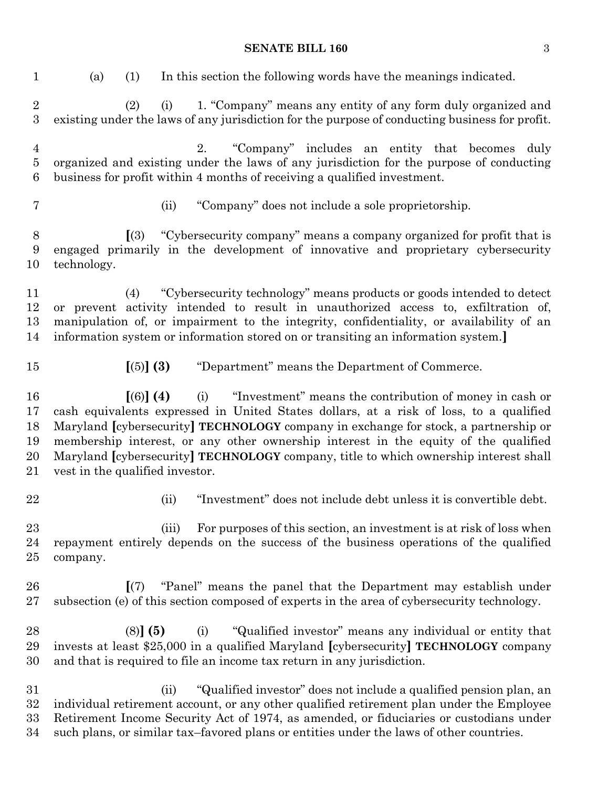| $\mathbf{1}$                     | In this section the following words have the meanings indicated.<br>(1)<br>(a)                                                                                                                                                                                                                                                                                                                                                                                              |  |  |
|----------------------------------|-----------------------------------------------------------------------------------------------------------------------------------------------------------------------------------------------------------------------------------------------------------------------------------------------------------------------------------------------------------------------------------------------------------------------------------------------------------------------------|--|--|
| $\sqrt{2}$<br>$\overline{3}$     | (2)<br>1. "Company" means any entity of any form duly organized and<br>(i)<br>existing under the laws of any jurisdiction for the purpose of conducting business for profit.                                                                                                                                                                                                                                                                                                |  |  |
| $\overline{4}$<br>$\bf 5$<br>6   | "Company" includes an entity that becomes duly<br>2.<br>organized and existing under the laws of any jurisdiction for the purpose of conducting<br>business for profit within 4 months of receiving a qualified investment.                                                                                                                                                                                                                                                 |  |  |
| 7                                | "Company" does not include a sole proprietorship.<br>(ii)                                                                                                                                                                                                                                                                                                                                                                                                                   |  |  |
| $8\,$<br>$9\phantom{.0}$<br>10   | "Cybersecurity company" means a company organized for profit that is<br>(3)<br>engaged primarily in the development of innovative and proprietary cybersecurity<br>technology.                                                                                                                                                                                                                                                                                              |  |  |
| 11<br>12<br>13<br>14             | "Cybersecurity technology" means products or goods intended to detect<br>(4)<br>or prevent activity intended to result in unauthorized access to, exfiltration of,<br>manipulation of, or impairment to the integrity, confidentiality, or availability of an<br>information system or information stored on or transiting an information system.]                                                                                                                          |  |  |
| 15                               | $\left[\left(5\right)\right]\left(3\right)$<br>"Department" means the Department of Commerce.                                                                                                                                                                                                                                                                                                                                                                               |  |  |
| 16<br>17<br>18<br>19<br>20<br>21 | (i) "Investment" means the contribution of money in cash or<br>$(6)$ (4)<br>cash equivalents expressed in United States dollars, at a risk of loss, to a qualified<br>Maryland [cybersecurity] TECHNOLOGY company in exchange for stock, a partnership or<br>membership interest, or any other ownership interest in the equity of the qualified<br>Maryland [cybersecurity] TECHNOLOGY company, title to which ownership interest shall<br>vest in the qualified investor. |  |  |
| 22                               | "Investment" does not include debt unless it is convertible debt.<br>(ii)                                                                                                                                                                                                                                                                                                                                                                                                   |  |  |
| 23<br>24<br>25                   | For purposes of this section, an investment is at risk of loss when<br>(iii)<br>repayment entirely depends on the success of the business operations of the qualified<br>company.                                                                                                                                                                                                                                                                                           |  |  |
| 26<br>27                         | "Panel" means the panel that the Department may establish under<br>$\lceil (7) \rceil$<br>subsection (e) of this section composed of experts in the area of cybersecurity technology.                                                                                                                                                                                                                                                                                       |  |  |
| 28<br>29<br>30                   | "Qualified investor" means any individual or entity that<br>$(8)$ (5)<br>(i)<br>invests at least \$25,000 in a qualified Maryland [cybersecurity] TECHNOLOGY company<br>and that is required to file an income tax return in any jurisdiction.                                                                                                                                                                                                                              |  |  |
| 31<br>32<br>33<br>34             | "Qualified investor" does not include a qualified pension plan, an<br>(ii)<br>individual retirement account, or any other qualified retirement plan under the Employee<br>Retirement Income Security Act of 1974, as amended, or fiduciaries or custodians under<br>such plans, or similar tax-favored plans or entities under the laws of other countries.                                                                                                                 |  |  |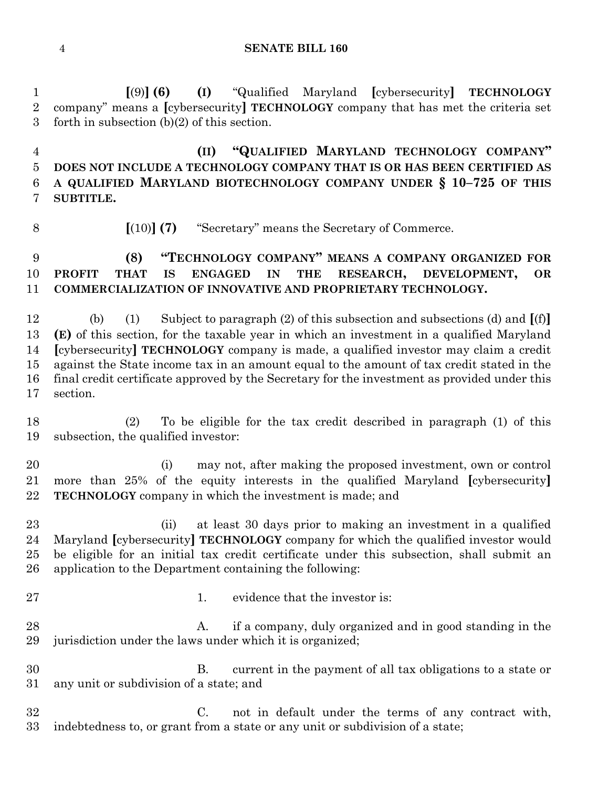**[**(9)**] (6) (I)** "Qualified Maryland **[**cybersecurity**] TECHNOLOGY** company" means a **[**cybersecurity**] TECHNOLOGY** company that has met the criteria set forth in subsection (b)(2) of this section.

 **(II) "QUALIFIED MARYLAND TECHNOLOGY COMPANY" DOES NOT INCLUDE A TECHNOLOGY COMPANY THAT IS OR HAS BEEN CERTIFIED AS A QUALIFIED MARYLAND BIOTECHNOLOGY COMPANY UNDER § 10–725 OF THIS SUBTITLE.**

**[**(10)**] (7)** "Secretary" means the Secretary of Commerce.

## **(8) "TECHNOLOGY COMPANY" MEANS A COMPANY ORGANIZED FOR PROFIT THAT IS ENGAGED IN THE RESEARCH, DEVELOPMENT, OR COMMERCIALIZATION OF INNOVATIVE AND PROPRIETARY TECHNOLOGY.**

 (b) (1) Subject to paragraph (2) of this subsection and subsections (d) and **[**(f)**] (E)** of this section, for the taxable year in which an investment in a qualified Maryland **[**cybersecurity**] TECHNOLOGY** company is made, a qualified investor may claim a credit against the State income tax in an amount equal to the amount of tax credit stated in the final credit certificate approved by the Secretary for the investment as provided under this section.

 (2) To be eligible for the tax credit described in paragraph (1) of this subsection, the qualified investor:

 (i) may not, after making the proposed investment, own or control more than 25% of the equity interests in the qualified Maryland **[**cybersecurity**] TECHNOLOGY** company in which the investment is made; and

 (ii) at least 30 days prior to making an investment in a qualified Maryland **[**cybersecurity**] TECHNOLOGY** company for which the qualified investor would be eligible for an initial tax credit certificate under this subsection, shall submit an application to the Department containing the following:

- 
- 27 1. evidence that the investor is:

28 A. if a company, duly organized and in good standing in the jurisdiction under the laws under which it is organized;

 B. current in the payment of all tax obligations to a state or any unit or subdivision of a state; and

 C. not in default under the terms of any contract with, indebtedness to, or grant from a state or any unit or subdivision of a state;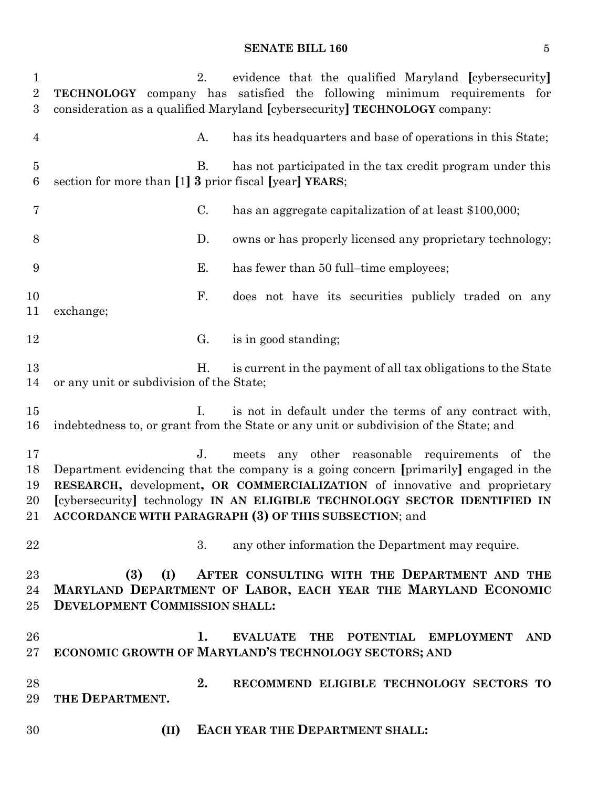| $\mathbf{1}$<br>$\overline{2}$<br>$\boldsymbol{3}$ | 2.                                                           | evidence that the qualified Maryland [cybersecurity]<br><b>TECHNOLOGY</b> company has satisfied the following minimum requirements for<br>consideration as a qualified Maryland [cybersecurity] TECHNOLOGY company:                                                                                                                                          |
|----------------------------------------------------|--------------------------------------------------------------|--------------------------------------------------------------------------------------------------------------------------------------------------------------------------------------------------------------------------------------------------------------------------------------------------------------------------------------------------------------|
| $\overline{4}$                                     | A.                                                           | has its headquarters and base of operations in this State;                                                                                                                                                                                                                                                                                                   |
| $\overline{5}$<br>6                                | В.<br>section for more than [1] 3 prior fiscal [year] YEARS; | has not participated in the tax credit program under this                                                                                                                                                                                                                                                                                                    |
| 7                                                  | C.                                                           | has an aggregate capitalization of at least \$100,000;                                                                                                                                                                                                                                                                                                       |
| 8                                                  | D.                                                           | owns or has properly licensed any proprietary technology;                                                                                                                                                                                                                                                                                                    |
| 9                                                  | Е.                                                           | has fewer than 50 full-time employees;                                                                                                                                                                                                                                                                                                                       |
| 10<br>11                                           | F.<br>exchange;                                              | does not have its securities publicly traded on any                                                                                                                                                                                                                                                                                                          |
| 12                                                 | G.                                                           | is in good standing;                                                                                                                                                                                                                                                                                                                                         |
| 13<br>14                                           | Н.<br>or any unit or subdivision of the State;               | is current in the payment of all tax obligations to the State                                                                                                                                                                                                                                                                                                |
| 15<br>16                                           | $\mathbf{L}$                                                 | is not in default under the terms of any contract with,<br>indebtedness to, or grant from the State or any unit or subdivision of the State; and                                                                                                                                                                                                             |
| 17<br>18<br>19<br>20                               | J <sub>r</sub>                                               | meets any other reasonable requirements of the<br>Department evidencing that the company is a going concern [primarily] engaged in the<br>RESEARCH, development, OR COMMERCIALIZATION of innovative and proprietary<br>[cybersecurity] technology IN AN ELIGIBLE TECHNOLOGY SECTOR IDENTIFIED IN<br>21 ACCORDANCE WITH PARAGRAPH (3) OF THIS SUBSECTION; and |
| 22                                                 | 3.                                                           | any other information the Department may require.                                                                                                                                                                                                                                                                                                            |
| 23<br>24<br>$25\,$                                 | (3)<br>(I)<br>DEVELOPMENT COMMISSION SHALL:                  | AFTER CONSULTING WITH THE DEPARTMENT AND THE<br>MARYLAND DEPARTMENT OF LABOR, EACH YEAR THE MARYLAND ECONOMIC                                                                                                                                                                                                                                                |
| 26<br>$27\,$                                       | 1.                                                           | EVALUATE THE POTENTIAL EMPLOYMENT<br>AND<br>ECONOMIC GROWTH OF MARYLAND'S TECHNOLOGY SECTORS; AND                                                                                                                                                                                                                                                            |
| 28<br>29                                           | 2.<br>THE DEPARTMENT.                                        | RECOMMEND ELIGIBLE TECHNOLOGY SECTORS TO                                                                                                                                                                                                                                                                                                                     |
| 30                                                 | (II)                                                         | <b>EACH YEAR THE DEPARTMENT SHALL:</b>                                                                                                                                                                                                                                                                                                                       |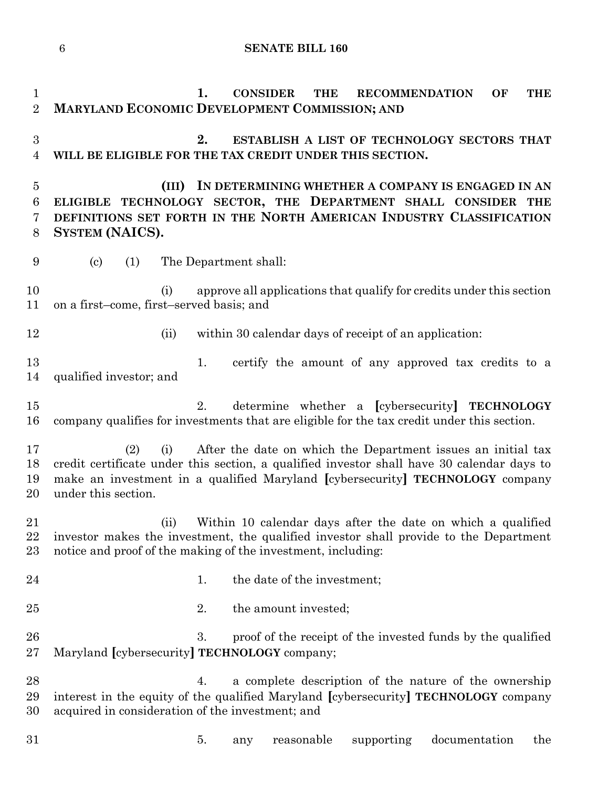**1. CONSIDER THE RECOMMENDATION OF THE MARYLAND ECONOMIC DEVELOPMENT COMMISSION; AND 2. ESTABLISH A LIST OF TECHNOLOGY SECTORS THAT WILL BE ELIGIBLE FOR THE TAX CREDIT UNDER THIS SECTION. (III) IN DETERMINING WHETHER A COMPANY IS ENGAGED IN AN ELIGIBLE TECHNOLOGY SECTOR, THE DEPARTMENT SHALL CONSIDER THE DEFINITIONS SET FORTH IN THE NORTH AMERICAN INDUSTRY CLASSIFICATION SYSTEM (NAICS).** (c) (1) The Department shall: (i) approve all applications that qualify for credits under this section on a first–come, first–served basis; and 12 (ii) within 30 calendar days of receipt of an application: 13 1. certify the amount of any approved tax credits to a qualified investor; and 2. determine whether a **[**cybersecurity**] TECHNOLOGY** company qualifies for investments that are eligible for the tax credit under this section. (2) (i) After the date on which the Department issues an initial tax credit certificate under this section, a qualified investor shall have 30 calendar days to make an investment in a qualified Maryland **[**cybersecurity**] TECHNOLOGY** company under this section. (ii) Within 10 calendar days after the date on which a qualified investor makes the investment, the qualified investor shall provide to the Department notice and proof of the making of the investment, including: 24 1. the date of the investment: 25 2. the amount invested; 26 3. proof of the receipt of the invested funds by the qualified Maryland **[**cybersecurity**] TECHNOLOGY** company; 4. a complete description of the nature of the ownership interest in the equity of the qualified Maryland **[**cybersecurity**] TECHNOLOGY** company acquired in consideration of the investment; and 5. any reasonable supporting documentation the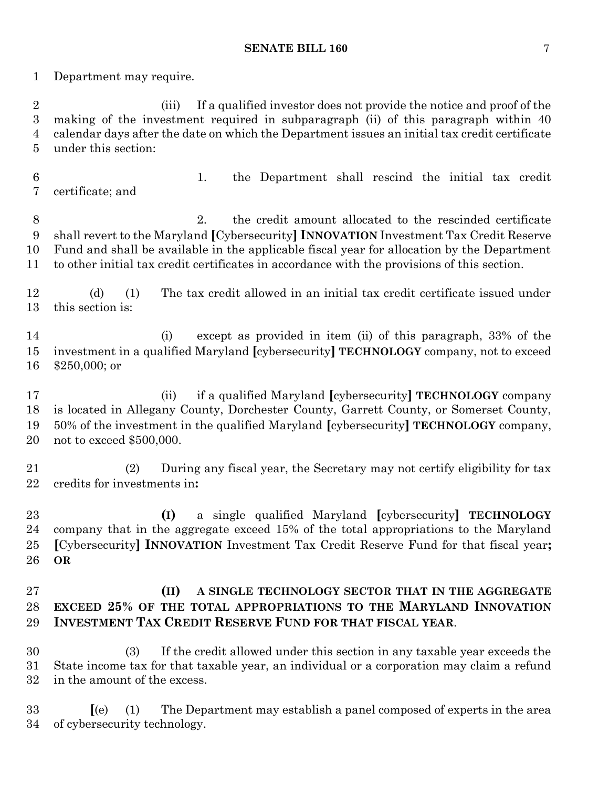Department may require.

 (iii) If a qualified investor does not provide the notice and proof of the making of the investment required in subparagraph (ii) of this paragraph within 40 calendar days after the date on which the Department issues an initial tax credit certificate under this section:

 1. the Department shall rescind the initial tax credit certificate; and

 2. the credit amount allocated to the rescinded certificate shall revert to the Maryland **[**Cybersecurity**] INNOVATION** Investment Tax Credit Reserve Fund and shall be available in the applicable fiscal year for allocation by the Department to other initial tax credit certificates in accordance with the provisions of this section.

 (d) (1) The tax credit allowed in an initial tax credit certificate issued under this section is:

 (i) except as provided in item (ii) of this paragraph, 33% of the investment in a qualified Maryland **[**cybersecurity**] TECHNOLOGY** company, not to exceed \$250,000; or

 (ii) if a qualified Maryland **[**cybersecurity**] TECHNOLOGY** company is located in Allegany County, Dorchester County, Garrett County, or Somerset County, 50% of the investment in the qualified Maryland **[**cybersecurity**] TECHNOLOGY** company, not to exceed \$500,000.

 (2) During any fiscal year, the Secretary may not certify eligibility for tax credits for investments in**:**

 **(I)** a single qualified Maryland **[**cybersecurity**] TECHNOLOGY** company that in the aggregate exceed 15% of the total appropriations to the Maryland **[**Cybersecurity**] INNOVATION** Investment Tax Credit Reserve Fund for that fiscal year**; OR**

## **(II) A SINGLE TECHNOLOGY SECTOR THAT IN THE AGGREGATE EXCEED 25% OF THE TOTAL APPROPRIATIONS TO THE MARYLAND INNOVATION INVESTMENT TAX CREDIT RESERVE FUND FOR THAT FISCAL YEAR**.

 (3) If the credit allowed under this section in any taxable year exceeds the State income tax for that taxable year, an individual or a corporation may claim a refund in the amount of the excess.

 **[**(e) (1) The Department may establish a panel composed of experts in the area of cybersecurity technology.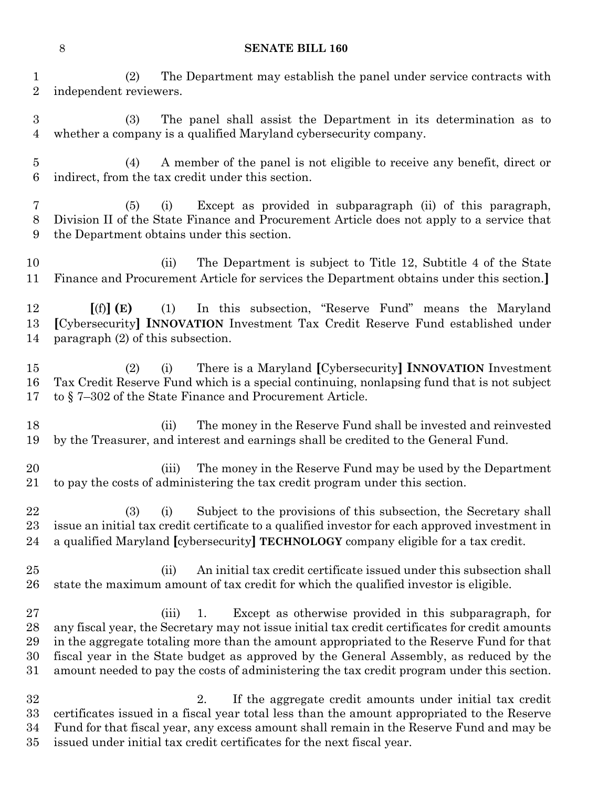(2) The Department may establish the panel under service contracts with independent reviewers.

 (3) The panel shall assist the Department in its determination as to whether a company is a qualified Maryland cybersecurity company.

 (4) A member of the panel is not eligible to receive any benefit, direct or indirect, from the tax credit under this section.

 (5) (i) Except as provided in subparagraph (ii) of this paragraph, Division II of the State Finance and Procurement Article does not apply to a service that the Department obtains under this section.

 (ii) The Department is subject to Title 12, Subtitle 4 of the State Finance and Procurement Article for services the Department obtains under this section.**]**

 **[**(f)**] (E)** (1) In this subsection, "Reserve Fund" means the Maryland **[**Cybersecurity**] INNOVATION** Investment Tax Credit Reserve Fund established under paragraph (2) of this subsection.

 (2) (i) There is a Maryland **[**Cybersecurity**] INNOVATION** Investment Tax Credit Reserve Fund which is a special continuing, nonlapsing fund that is not subject to § 7–302 of the State Finance and Procurement Article.

 (ii) The money in the Reserve Fund shall be invested and reinvested by the Treasurer, and interest and earnings shall be credited to the General Fund.

 (iii) The money in the Reserve Fund may be used by the Department to pay the costs of administering the tax credit program under this section.

 (3) (i) Subject to the provisions of this subsection, the Secretary shall issue an initial tax credit certificate to a qualified investor for each approved investment in a qualified Maryland **[**cybersecurity**] TECHNOLOGY** company eligible for a tax credit.

 (ii) An initial tax credit certificate issued under this subsection shall state the maximum amount of tax credit for which the qualified investor is eligible.

 (iii) 1. Except as otherwise provided in this subparagraph, for any fiscal year, the Secretary may not issue initial tax credit certificates for credit amounts in the aggregate totaling more than the amount appropriated to the Reserve Fund for that fiscal year in the State budget as approved by the General Assembly, as reduced by the amount needed to pay the costs of administering the tax credit program under this section.

 2. If the aggregate credit amounts under initial tax credit certificates issued in a fiscal year total less than the amount appropriated to the Reserve Fund for that fiscal year, any excess amount shall remain in the Reserve Fund and may be issued under initial tax credit certificates for the next fiscal year.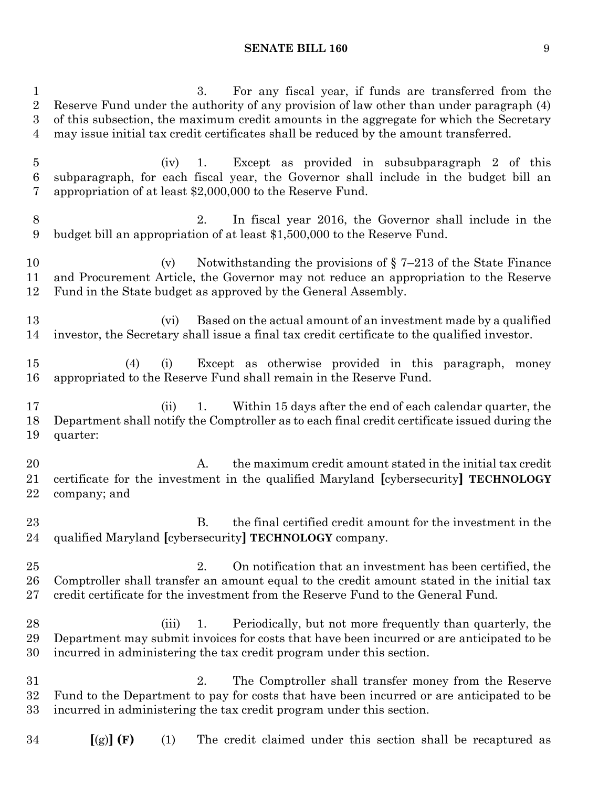3. For any fiscal year, if funds are transferred from the Reserve Fund under the authority of any provision of law other than under paragraph (4) of this subsection, the maximum credit amounts in the aggregate for which the Secretary may issue initial tax credit certificates shall be reduced by the amount transferred. (iv) 1. Except as provided in subsubparagraph 2 of this subparagraph, for each fiscal year, the Governor shall include in the budget bill an appropriation of at least \$2,000,000 to the Reserve Fund. 2. In fiscal year 2016, the Governor shall include in the budget bill an appropriation of at least \$1,500,000 to the Reserve Fund. (v) Notwithstanding the provisions of § 7–213 of the State Finance and Procurement Article, the Governor may not reduce an appropriation to the Reserve Fund in the State budget as approved by the General Assembly. (vi) Based on the actual amount of an investment made by a qualified investor, the Secretary shall issue a final tax credit certificate to the qualified investor. (4) (i) Except as otherwise provided in this paragraph, money appropriated to the Reserve Fund shall remain in the Reserve Fund. 17 (ii) 1. Within 15 days after the end of each calendar quarter, the Department shall notify the Comptroller as to each final credit certificate issued during the quarter: 20 A. the maximum credit amount stated in the initial tax credit certificate for the investment in the qualified Maryland **[**cybersecurity**] TECHNOLOGY** company; and B. the final certified credit amount for the investment in the qualified Maryland **[**cybersecurity**] TECHNOLOGY** company. 2. On notification that an investment has been certified, the Comptroller shall transfer an amount equal to the credit amount stated in the initial tax credit certificate for the investment from the Reserve Fund to the General Fund. (iii) 1. Periodically, but not more frequently than quarterly, the Department may submit invoices for costs that have been incurred or are anticipated to be incurred in administering the tax credit program under this section. 2. The Comptroller shall transfer money from the Reserve Fund to the Department to pay for costs that have been incurred or are anticipated to be incurred in administering the tax credit program under this section. **[**(g)**] (F)** (1) The credit claimed under this section shall be recaptured as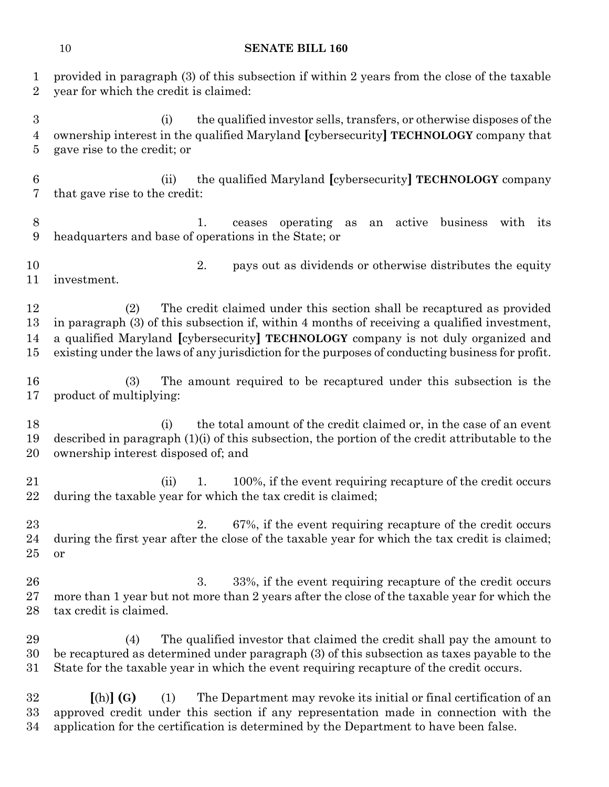| 1<br>$\overline{2}$      | provided in paragraph (3) of this subsection if within 2 years from the close of the taxable<br>year for which the credit is claimed:                                                                                                                                                                                                                                |
|--------------------------|----------------------------------------------------------------------------------------------------------------------------------------------------------------------------------------------------------------------------------------------------------------------------------------------------------------------------------------------------------------------|
| 3<br>4<br>$\overline{5}$ | the qualified investor sells, transfers, or otherwise disposes of the<br>(i)<br>ownership interest in the qualified Maryland [cybersecurity] TECHNOLOGY company that<br>gave rise to the credit; or                                                                                                                                                                  |
| 6<br>7                   | the qualified Maryland [cybersecurity] TECHNOLOGY company<br>(ii)<br>that gave rise to the credit:                                                                                                                                                                                                                                                                   |
| 8<br>9                   | ceases operating as<br>an active business with its<br>1.<br>headquarters and base of operations in the State; or                                                                                                                                                                                                                                                     |
| 10<br>11                 | 2.<br>pays out as dividends or otherwise distributes the equity<br>investment.                                                                                                                                                                                                                                                                                       |
| 12<br>13<br>14<br>15     | The credit claimed under this section shall be recaptured as provided<br>(2)<br>in paragraph (3) of this subsection if, within 4 months of receiving a qualified investment,<br>a qualified Maryland [cybersecurity] TECHNOLOGY company is not duly organized and<br>existing under the laws of any jurisdiction for the purposes of conducting business for profit. |
| 16<br>17                 | The amount required to be recaptured under this subsection is the<br>(3)<br>product of multiplying:                                                                                                                                                                                                                                                                  |
| 18<br>19<br>20           | the total amount of the credit claimed or, in the case of an event<br>(i)<br>described in paragraph $(1)(i)$ of this subsection, the portion of the credit attributable to the<br>ownership interest disposed of; and                                                                                                                                                |
| 21<br>22                 | 100%, if the event requiring recapture of the credit occurs<br>(ii)<br>1.<br>during the taxable year for which the tax credit is claimed;                                                                                                                                                                                                                            |
| 23<br>24<br>25           | 67%, if the event requiring recapture of the credit occurs<br>2.<br>during the first year after the close of the taxable year for which the tax credit is claimed;<br><b>or</b>                                                                                                                                                                                      |
| 26<br>27<br>28           | 33%, if the event requiring recapture of the credit occurs<br>3.<br>more than 1 year but not more than 2 years after the close of the taxable year for which the<br>tax credit is claimed.                                                                                                                                                                           |
| 29<br>30<br>31           | The qualified investor that claimed the credit shall pay the amount to<br>(4)<br>be recaptured as determined under paragraph (3) of this subsection as taxes payable to the<br>State for the taxable year in which the event requiring recapture of the credit occurs.                                                                                               |
| 32<br>33<br>34           | $[(h)]$ $(G)$<br>The Department may revoke its initial or final certification of an<br>(1)<br>approved credit under this section if any representation made in connection with the<br>application for the certification is determined by the Department to have been false.                                                                                          |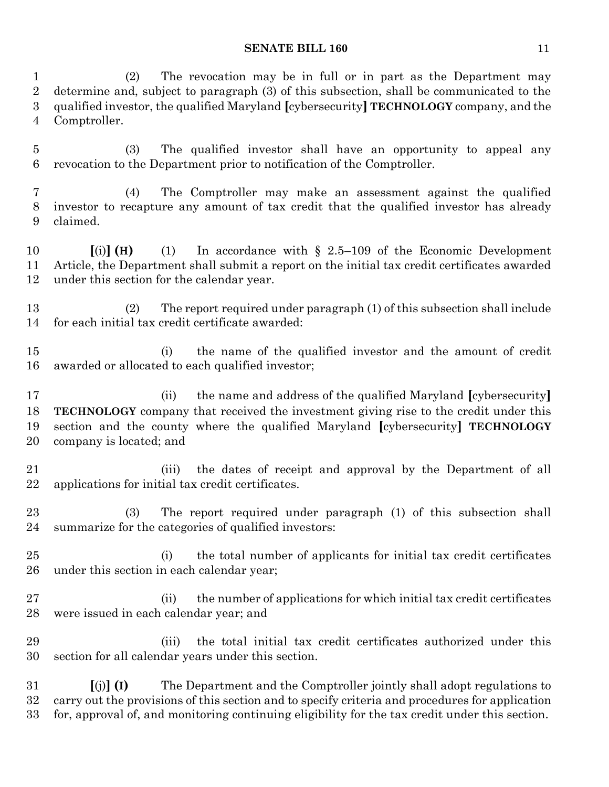(2) The revocation may be in full or in part as the Department may determine and, subject to paragraph (3) of this subsection, shall be communicated to the qualified investor, the qualified Maryland **[**cybersecurity**] TECHNOLOGY** company, and the Comptroller.

 (3) The qualified investor shall have an opportunity to appeal any revocation to the Department prior to notification of the Comptroller.

 (4) The Comptroller may make an assessment against the qualified investor to recapture any amount of tax credit that the qualified investor has already claimed.

 **[**(i)**] (H)** (1) In accordance with § 2.5–109 of the Economic Development Article, the Department shall submit a report on the initial tax credit certificates awarded under this section for the calendar year.

 (2) The report required under paragraph (1) of this subsection shall include for each initial tax credit certificate awarded:

 (i) the name of the qualified investor and the amount of credit awarded or allocated to each qualified investor;

 (ii) the name and address of the qualified Maryland **[**cybersecurity**] TECHNOLOGY** company that received the investment giving rise to the credit under this section and the county where the qualified Maryland **[**cybersecurity**] TECHNOLOGY** company is located; and

 (iii) the dates of receipt and approval by the Department of all applications for initial tax credit certificates.

 (3) The report required under paragraph (1) of this subsection shall summarize for the categories of qualified investors:

 (i) the total number of applicants for initial tax credit certificates under this section in each calendar year;

27 (ii) the number of applications for which initial tax credit certificates were issued in each calendar year; and

 (iii) the total initial tax credit certificates authorized under this section for all calendar years under this section.

 **[**(j)**] (I)** The Department and the Comptroller jointly shall adopt regulations to carry out the provisions of this section and to specify criteria and procedures for application for, approval of, and monitoring continuing eligibility for the tax credit under this section.